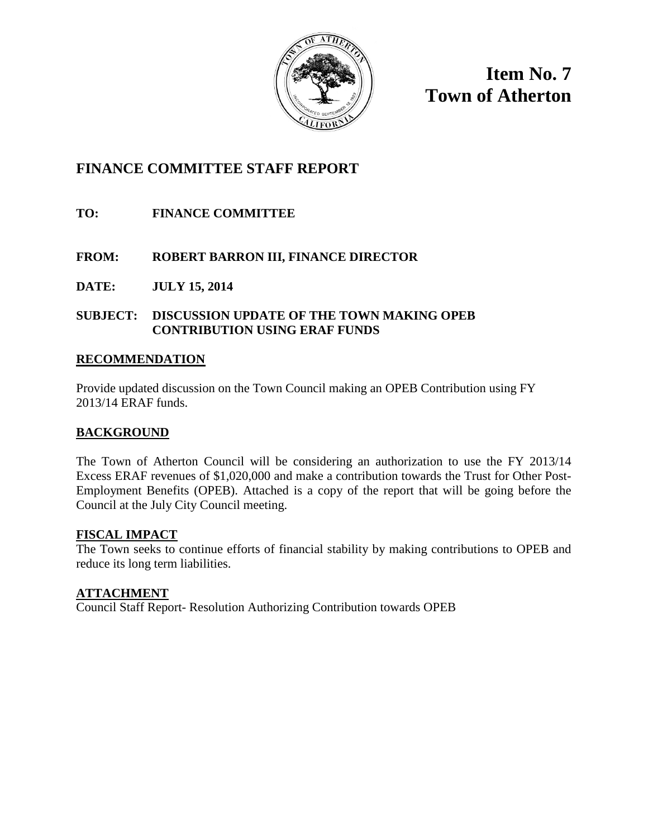

**Item No. 7 Town of Atherton**

## **FINANCE COMMITTEE STAFF REPORT**

**TO: FINANCE COMMITTEE**

## **FROM: ROBERT BARRON III, FINANCE DIRECTOR**

**DATE: JULY 15, 2014**

## **SUBJECT: DISCUSSION UPDATE OF THE TOWN MAKING OPEB CONTRIBUTION USING ERAF FUNDS**

## **RECOMMENDATION**

Provide updated discussion on the Town Council making an OPEB Contribution using FY 2013/14 ERAF funds.

## **BACKGROUND**

The Town of Atherton Council will be considering an authorization to use the FY 2013/14 Excess ERAF revenues of \$1,020,000 and make a contribution towards the Trust for Other Post-Employment Benefits (OPEB). Attached is a copy of the report that will be going before the Council at the July City Council meeting.

## **FISCAL IMPACT**

The Town seeks to continue efforts of financial stability by making contributions to OPEB and reduce its long term liabilities.

## **ATTACHMENT**

Council Staff Report- Resolution Authorizing Contribution towards OPEB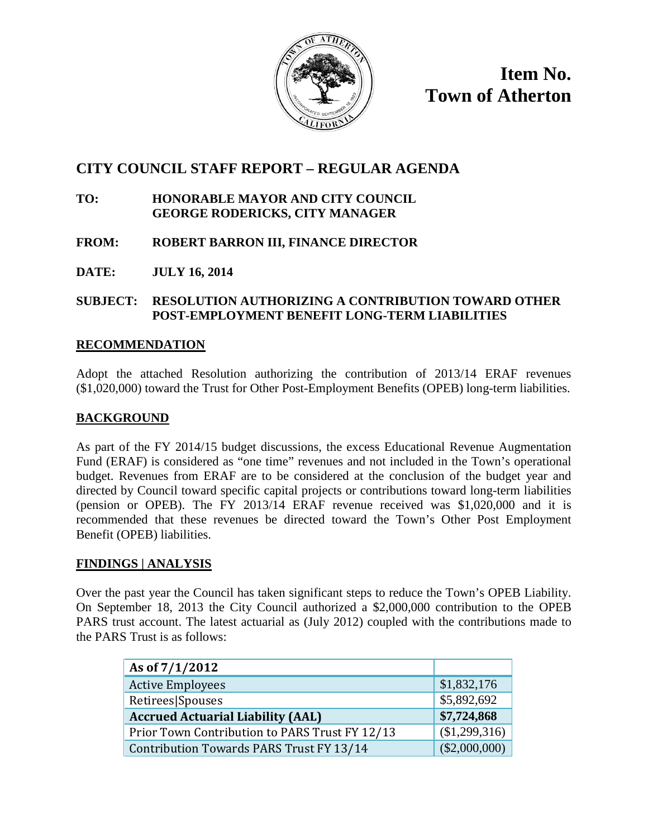

**Item No. Town of Atherton**

# **CITY COUNCIL STAFF REPORT – REGULAR AGENDA**

#### **TO: HONORABLE MAYOR AND CITY COUNCIL GEORGE RODERICKS, CITY MANAGER**

**FROM: ROBERT BARRON III, FINANCE DIRECTOR**

**DATE: JULY 16, 2014**

## **SUBJECT: RESOLUTION AUTHORIZING A CONTRIBUTION TOWARD OTHER POST-EMPLOYMENT BENEFIT LONG-TERM LIABILITIES**

## **RECOMMENDATION**

Adopt the attached Resolution authorizing the contribution of 2013/14 ERAF revenues (\$1,020,000) toward the Trust for Other Post-Employment Benefits (OPEB) long-term liabilities.

#### **BACKGROUND**

As part of the FY 2014/15 budget discussions, the excess Educational Revenue Augmentation Fund (ERAF) is considered as "one time" revenues and not included in the Town's operational budget. Revenues from ERAF are to be considered at the conclusion of the budget year and directed by Council toward specific capital projects or contributions toward long-term liabilities (pension or OPEB). The FY 2013/14 ERAF revenue received was \$1,020,000 and it is recommended that these revenues be directed toward the Town's Other Post Employment Benefit (OPEB) liabilities.

## **FINDINGS | ANALYSIS**

Over the past year the Council has taken significant steps to reduce the Town's OPEB Liability. On September 18, 2013 the City Council authorized a \$2,000,000 contribution to the OPEB PARS trust account. The latest actuarial as (July 2012) coupled with the contributions made to the PARS Trust is as follows:

| As of 7/1/2012                                 |                 |
|------------------------------------------------|-----------------|
| <b>Active Employees</b>                        | \$1,832,176     |
| Retirees Spouses                               | \$5,892,692     |
| <b>Accrued Actuarial Liability (AAL)</b>       | \$7,724,868     |
| Prior Town Contribution to PARS Trust FY 12/13 | (\$1,299,316)   |
| Contribution Towards PARS Trust FY 13/14       | $(\$2,000,000)$ |